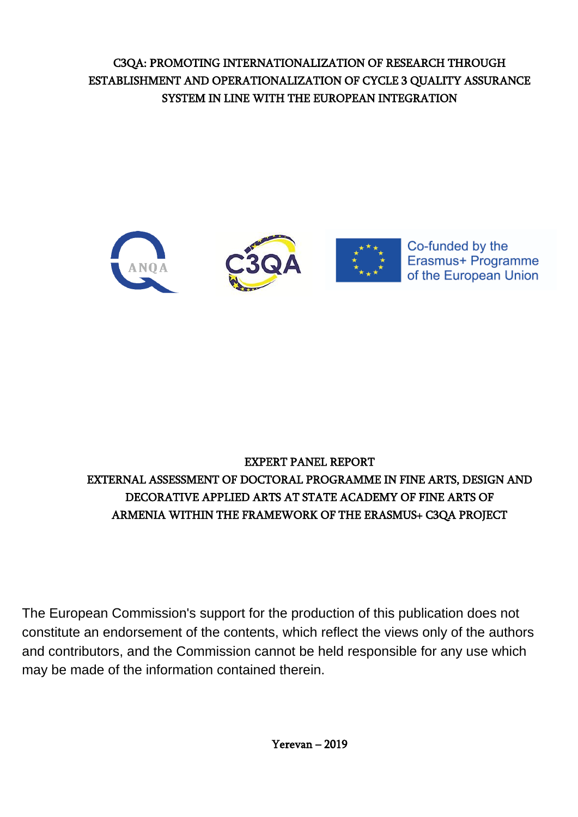C3QA: PROMOTING INTERNATIONALIZATION OF RESEARCH THROUGH ESTABLISHMENT AND OPERATIONALIZATION OF CYCLE 3 QUALITY ASSURANCE SYSTEM IN LINE WITH THE EUROPEAN INTEGRATION



# EXPERT PANEL REPORT EXTERNAL ASSESSMENT OF DOCTORAL PROGRAMME IN FINE ARTS, DESIGN AND DECORATIVE APPLIED ARTS AT STATE ACADEMY OF FINE ARTS OF ARMENIA WITHIN THE FRAMEWORK OF THE ERASMUS+ C3QA PROJECT

 may be made of the information contained therein.The European Commission's support for the production of this publication does not constitute an endorsement of the contents, which reflect the views only of the authors and contributors, and the Commission cannot be held responsible for any use which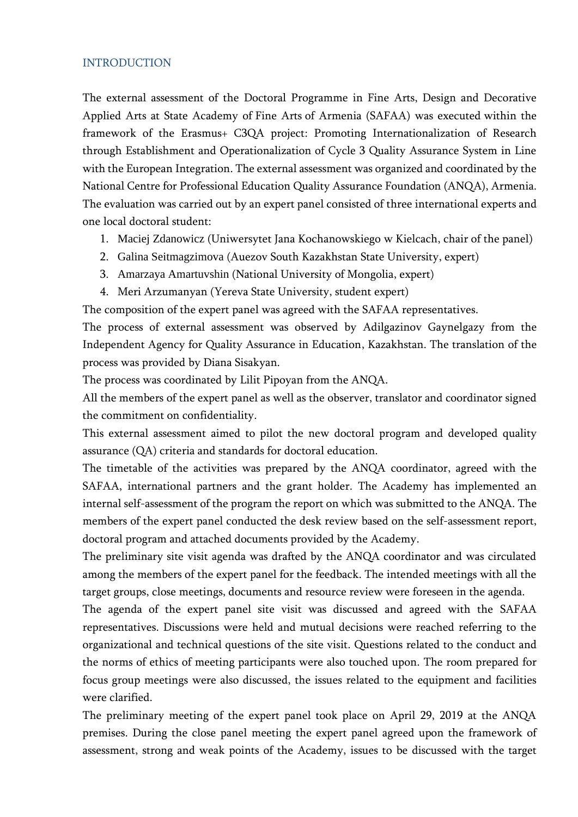### <span id="page-1-0"></span>INTRODUCTION

The external assessment of the Doctoral Programme in Fine Arts, Design and Decorative Applied Arts at State Academy of Fine Arts of Armenia (SAFAA) was executed within the framework of the Erasmus+ C3QA project: Promoting Internationalization of Research through Establishment and Operationalization of Cycle 3 Quality Assurance System in Line with the European Integration. The external assessment was organized and coordinated by the National Centre for Professional Education Quality Assurance Foundation (ANQA), Armenia. The evaluation was carried out by an expert panel consisted of three international experts and one local doctoral student:

- 1. Maciej Zdanowicz (Uniwersytet Jana Kochanowskiego w Kielcach, chair of the panel)
- 2. Galina Seitmagzimova (Auezov South Kazakhstan State University, expert)
- 3. Amarzaya Amartuvshin (National University of Mongolia, expert)
- 4. Meri Arzumanyan (Yereva State University, student expert)

The composition of the expert panel was agreed with the SAFAA representatives.

The process of external assessment was observed by Adilgazinov Gaynelgazy from the Independent Agency for Quality Assurance in Education, Kazakhstan. The translation of the process was provided by Diana Sisakyan.

The process was coordinated by Lilit Pipoyan from the ANQA.

All the members of the expert panel as well as the observer, translator and coordinator signed the commitment on confidentiality.

This external assessment aimed to pilot the new doctoral program and developed quality assurance (QA) criteria and standards for doctoral education.

The timetable of the activities was prepared by the ANQA coordinator, agreed with the SAFAA, international partners and the grant holder. The Academy has implemented an internal self-assessment of the program the report on which was submitted to the ANQA. The members of the expert panel conducted the desk review based on the self-assessment report, doctoral program and attached documents provided by the Academy.

The preliminary site visit agenda was drafted by the ANQA coordinator and was circulated among the members of the expert panel for the feedback. The intended meetings with all the target groups, close meetings, documents and resource review were foreseen in the agenda.

The agenda of the expert panel site visit was discussed and agreed with the SAFAA representatives. Discussions were held and mutual decisions were reached referring to the organizational and technical questions of the site visit. Questions related to the conduct and the norms of ethics of meeting participants were also touched upon. The room prepared for focus group meetings were also discussed, the issues related to the equipment and facilities were clarified.

The preliminary meeting of the expert panel took place on April 29, 2019 at the ANQA premises. During the close panel meeting the expert panel agreed upon the framework of assessment, strong and weak points of the Academy, issues to be discussed with the target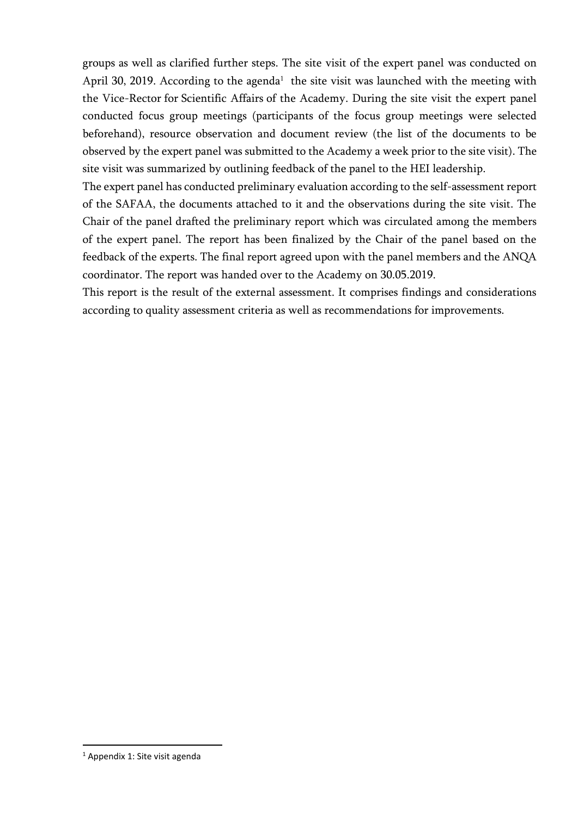groups as well as clarified further steps. The site visit of the expert panel was conducted on April 30, 2019. According to the agenda<sup>1</sup> the site visit was launched with the meeting with the Vice-Rector for Scientific Affairs of the Academy. During the site visit the expert panel conducted focus group meetings (participants of the focus group meetings were selected beforehand), resource observation and document review (the list of the documents to be observed by the expert panel was submitted to the Academy a week prior to the site visit). The site visit was summarized by outlining feedback of the panel to the HEI leadership.

The expert panel has conducted preliminary evaluation according to the self-assessment report of the SAFAA, the documents attached to it and the observations during the site visit. The Chair of the panel drafted the preliminary report which was circulated among the members of the expert panel. The report has been finalized by the Chair of the panel based on the feedback of the experts. The final report agreed upon with the panel members and the ANQA coordinator. The report was handed over to the Academy on 30.05.2019.

This report is the result of the external assessment. It comprises findings and considerations according to quality assessment criteria as well as recommendations for improvements.

**.** 

<sup>1</sup> Appendix 1: Site visit agenda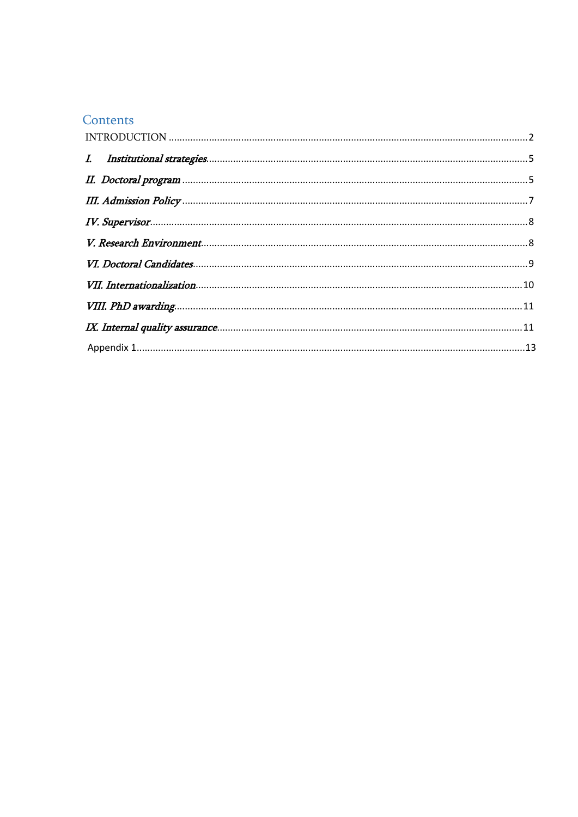## Contents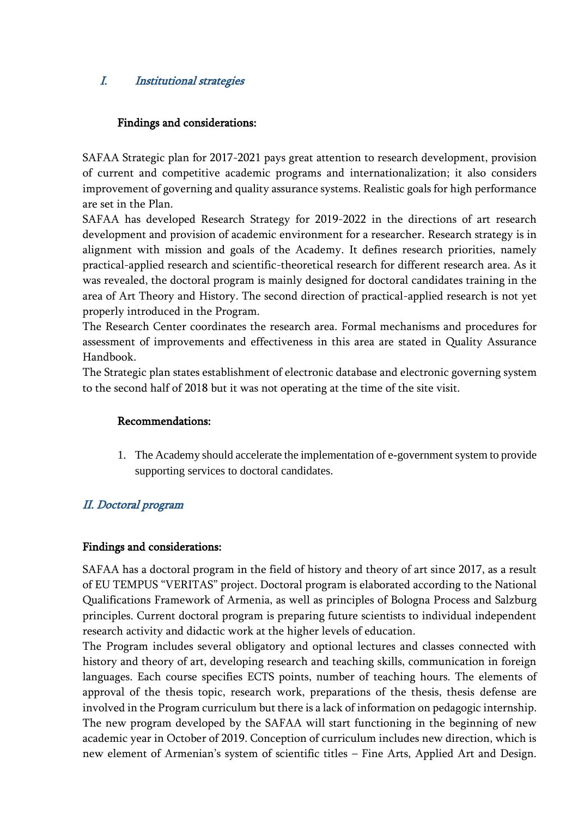## <span id="page-4-0"></span>I. Institutional strategies

### Findings and considerations:

SAFAA Strategic plan for 2017-2021 pays great attention to research development, provision of current and competitive academic programs and internationalization; it also considers improvement of governing and quality assurance systems. Realistic goals for high performance are set in the Plan.

SAFAA has developed Research Strategy for 2019-2022 in the directions of art research development and provision of academic environment for a researcher. Research strategy is in alignment with mission and goals of the Academy. It defines research priorities, namely practical-applied research and scientific-theoretical research for different research area. As it was revealed, the doctoral program is mainly designed for doctoral candidates training in the area of Art Theory and History. The second direction of practical-applied research is not yet properly introduced in the Program.

The Research Center coordinates the research area. Formal mechanisms and procedures for assessment of improvements and effectiveness in this area are stated in Quality Assurance Handbook.

The Strategic plan states establishment of electronic database and electronic governing system to the second half of 2018 but it was not operating at the time of the site visit.

### Recommendations:

1. The Academy should accelerate the implementation of e-government system to provide supporting services to doctoral candidates.

## <span id="page-4-1"></span>II. Doctoral program

### Findings and considerations:

SAFAA has a doctoral program in the field of history and theory of art since 2017, as a result of EU TEMPUS "VERITAS" project. Doctoral program is elaborated according to the National Qualifications Framework of Armenia, as well as principles of Bologna Process and Salzburg principles. Current doctoral program is preparing future scientists to individual independent research activity and didactic work at the higher levels of education.

The Program includes several obligatory and optional lectures and classes connected with history and theory of art, developing research and teaching skills, communication in foreign languages. Each course specifies ECTS points, number of teaching hours. The elements of approval of the thesis topic, research work, preparations of the thesis, thesis defense are involved in the Program curriculum but there is a lack of information on pedagogic internship. The new program developed by the SAFAA will start functioning in the beginning of new academic year in October of 2019. Conception of curriculum includes new direction, which is new element of Armenian's system of scientific titles – Fine Arts, Applied Art and Design.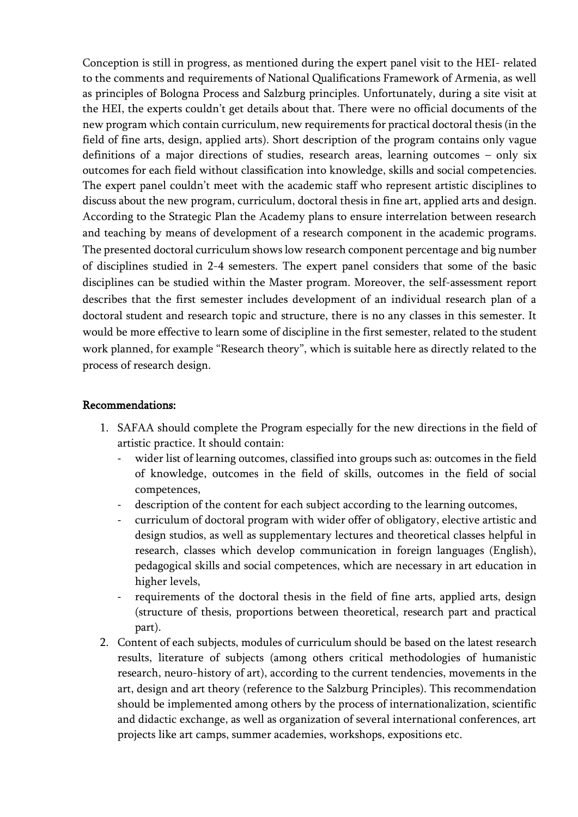Conception is still in progress, as mentioned during the expert panel visit to the HEI- related to the comments and requirements of National Qualifications Framework of Armenia, as well as principles of Bologna Process and Salzburg principles. Unfortunately, during a site visit at the HEI, the experts couldn't get details about that. There were no official documents of the new program which contain curriculum, new requirements for practical doctoral thesis (in the field of fine arts, design, applied arts). Short description of the program contains only vague definitions of a major directions of studies, research areas, learning outcomes – only six outcomes for each field without classification into knowledge, skills and social competencies. The expert panel couldn't meet with the academic staff who represent artistic disciplines to discuss about the new program, curriculum, doctoral thesis in fine art, applied arts and design. According to the Strategic Plan the Academy plans to ensure interrelation between research and teaching by means of development of a research component in the academic programs. The presented doctoral curriculum shows low research component percentage and big number of disciplines studied in 2-4 semesters. The expert panel considers that some of the basic disciplines can be studied within the Master program. Moreover, the self-assessment report describes that the first semester includes development of an individual research plan of a doctoral student and research topic and structure, there is no any classes in this semester. It would be more effective to learn some of discipline in the first semester, related to the student work planned, for example "Research theory", which is suitable here as directly related to the process of research design.

#### Recommendations:

- 1. SAFAA should complete the Program especially for the new directions in the field of artistic practice. It should contain:
	- wider list of learning outcomes, classified into groups such as: outcomes in the field of knowledge, outcomes in the field of skills, outcomes in the field of social competences,
	- description of the content for each subject according to the learning outcomes,
	- curriculum of doctoral program with wider offer of obligatory, elective artistic and design studios, as well as supplementary lectures and theoretical classes helpful in research, classes which develop communication in foreign languages (English), pedagogical skills and social competences, which are necessary in art education in higher levels,
	- requirements of the doctoral thesis in the field of fine arts, applied arts, design (structure of thesis, proportions between theoretical, research part and practical part).
- 2. Content of each subjects, modules of curriculum should be based on the latest research results, literature of subjects (among others critical methodologies of humanistic research, neuro-history of art), according to the current tendencies, movements in the art, design and art theory (reference to the Salzburg Principles). This recommendation should be implemented among others by the process of internationalization, scientific and didactic exchange, as well as organization of several international conferences, art projects like art camps, summer academies, workshops, expositions etc.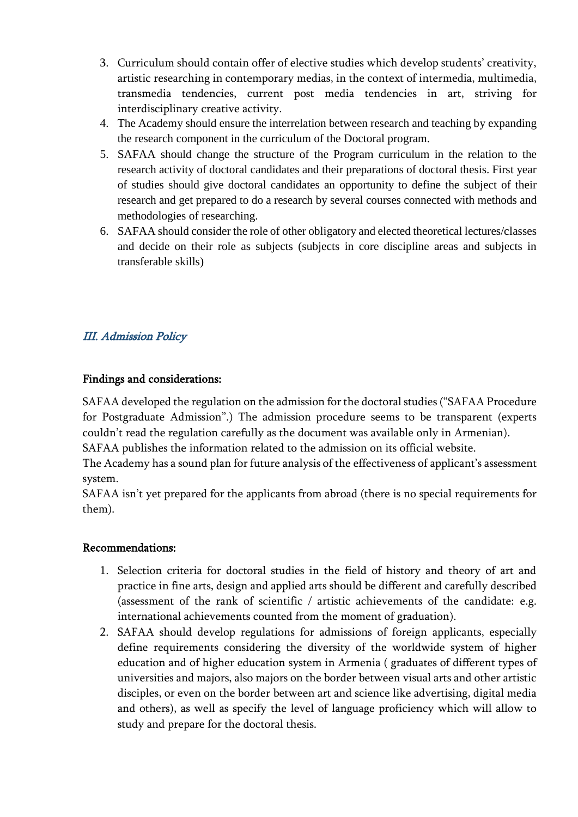- 3. Curriculum should contain offer of elective studies which develop students' creativity, artistic researching in contemporary medias, in the context of intermedia, multimedia, transmedia tendencies, current post media tendencies in art, striving for interdisciplinary creative activity.
- 4. The Academy should ensure the interrelation between research and teaching by expanding the research component in the curriculum of the Doctoral program.
- 5. SAFAA should change the structure of the Program curriculum in the relation to the research activity of doctoral candidates and their preparations of doctoral thesis. First year of studies should give doctoral candidates an opportunity to define the subject of their research and get prepared to do a research by several courses connected with methods and methodologies of researching.
- 6. SAFAA should consider the role of other obligatory and elected theoretical lectures/classes and decide on their role as subjects (subjects in core discipline areas and subjects in transferable skills)

## <span id="page-6-0"></span>III. Admission Policy

### Findings and considerations:

SAFAA developed the regulation on the admission for the doctoral studies ("SAFAA Procedure for Postgraduate Admission".) The admission procedure seems to be transparent (experts couldn't read the regulation carefully as the document was available only in Armenian).

SAFAA publishes the information related to the admission on its official website.

The Academy has a sound plan for future analysis of the effectiveness of applicant's assessment system.

SAFAA isn't yet prepared for the applicants from abroad (there is no special requirements for them).

### Recommendations:

- 1. Selection criteria for doctoral studies in the field of history and theory of art and practice in fine arts, design and applied arts should be different and carefully described (assessment of the rank of scientific / artistic achievements of the candidate: e.g. international achievements counted from the moment of graduation).
- 2. SAFAA should develop regulations for admissions of foreign applicants, especially define requirements considering the diversity of the worldwide system of higher education and of higher education system in Armenia ( graduates of different types of universities and majors, also majors on the border between visual arts and other artistic disciples, or even on the border between art and science like advertising, digital media and others), as well as specify the level of language proficiency which will allow to study and prepare for the doctoral thesis.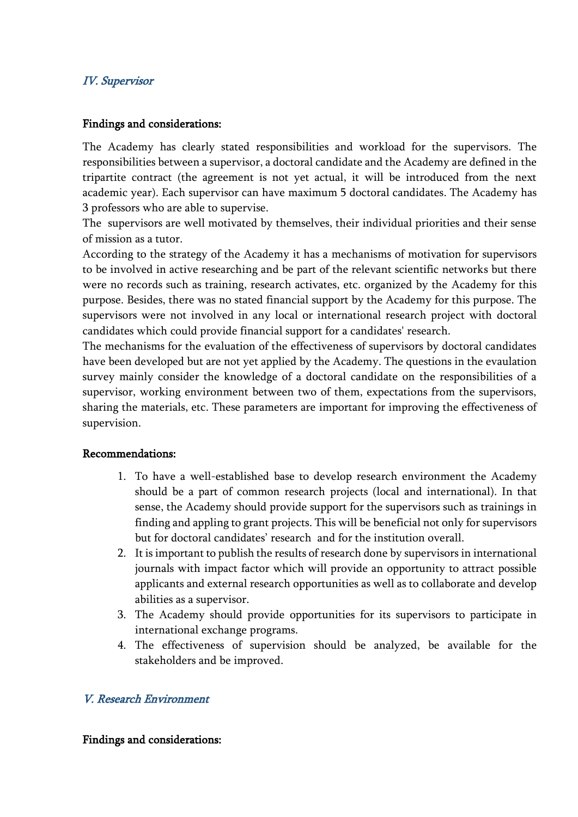### <span id="page-7-0"></span>IV. Supervisor

### Findings and considerations:

The Academy has clearly stated responsibilities and workload for the supervisors. The responsibilities between a supervisor, a doctoral candidate and the Academy are defined in the tripartite contract (the agreement is not yet actual, it will be introduced from the next academic year). Each supervisor can have maximum 5 doctoral candidates. The Academy has 3 professors who are able to supervise.

The supervisors are well motivated by themselves, their individual priorities and their sense of mission as a tutor.

According to the strategy of the Academy it has a mechanisms of motivation for supervisors to be involved in active researching and be part of the relevant scientific networks but there were no records such as training, research activates, etc. organized by the Academy for this purpose. Besides, there was no stated financial support by the Academy for this purpose. The supervisors were not involved in any local or international research project with doctoral candidates which could provide financial support for a candidates' research.

The mechanisms for the evaluation of the effectiveness of supervisors by doctoral candidates have been developed but are not yet applied by the Academy. The questions in the evaulation survey mainly consider the knowledge of a doctoral candidate on the responsibilities of a supervisor, working environment between two of them, expectations from the supervisors, sharing the materials, etc. These parameters are important for improving the effectiveness of supervision.

### Recommendations:

- 1. To have a well-established base to develop research environment the Academy should be a part of common research projects (local and international). In that sense, the Academy should provide support for the supervisors such as trainings in finding and appling to grant projects. This will be beneficial not only for supervisors but for doctoral candidates' research and for the institution overall.
- 2. It is important to publish the results of research done by supervisors in international journals with impact factor which will provide an opportunity to attract possible applicants and external research opportunities as well as to collaborate and develop abilities as a supervisor.
- 3. The Academy should provide opportunities for its supervisors to participate in international exchange programs.
- 4. The effectiveness of supervision should be analyzed, be available for the stakeholders and be improved.

### <span id="page-7-1"></span>V. Research Environment

#### Findings and considerations: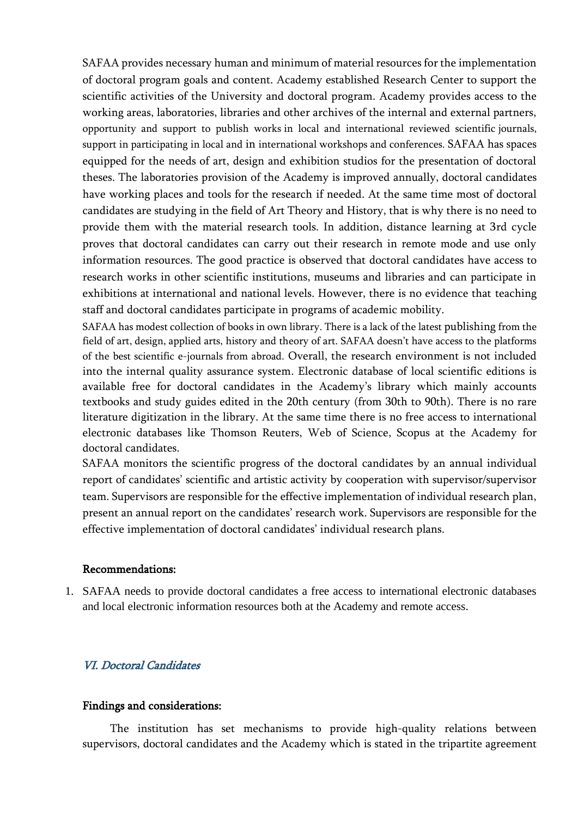SAFAA provides necessary human and minimum of material resources for the implementation of doctoral program goals and content. Academy established Research Center to support the scientific activities of the University and doctoral program. Academy provides access to the working areas, laboratories, libraries and other archives of the internal and external partners, opportunity and support to publish works in local and international reviewed scientific journals, support in participating in local and in international workshops and conferences. SAFAA has spaces equipped for the needs of art, design and exhibition studios for the presentation of doctoral theses. The laboratories provision of the Academy is improved annually, doctoral candidates have working places and tools for the research if needed. At the same time most of doctoral candidates are studying in the field of Art Theory and History, that is why there is no need to provide them with the material research tools. In addition, distance learning at 3rd cycle proves that doctoral candidates can carry out their research in remote mode and use only information resources. The good practice is observed that doctoral candidates have access to research works in other scientific institutions, museums and libraries and can participate in exhibitions at international and national levels. However, there is no evidence that teaching staff and doctoral candidates participate in programs of academic mobility.

SAFAA has modest collection of books in own library. There is a lack of the latest publishing from the field of art, design, applied arts, history and theory of art. SAFAA doesn't have access to the platforms of the best scientific e-journals from abroad. Overall, the research environment is not included into the internal quality assurance system. Electronic database of local scientific editions is available free for doctoral candidates in the Academy's library which mainly accounts textbooks and study guides edited in the 20th century (from 30th to 90th). There is no rare literature digitization in the library. At the same time there is no free access to international electronic databases like Thomson Reuters, Web of Science, Scopus at the Academy for doctoral candidates.

SAFAA monitors the scientific progress of the doctoral candidates by an annual individual report of candidates' scientific and artistic activity by cooperation with supervisor/supervisor team. Supervisors are responsible for the effective implementation of individual research plan, present an annual report on the candidates' research work. Supervisors are responsible for the effective implementation of doctoral candidates' individual research plans.

#### Recommendations:

1. SAFAA needs to provide doctoral candidates a free access to international electronic databases and local electronic information resources both at the Academy and remote access.

### <span id="page-8-0"></span>VI. Doctoral Candidates

#### Findings and considerations:

The institution has set mechanisms to provide high-quality relations between supervisors, doctoral candidates and the Academy which is stated in the tripartite agreement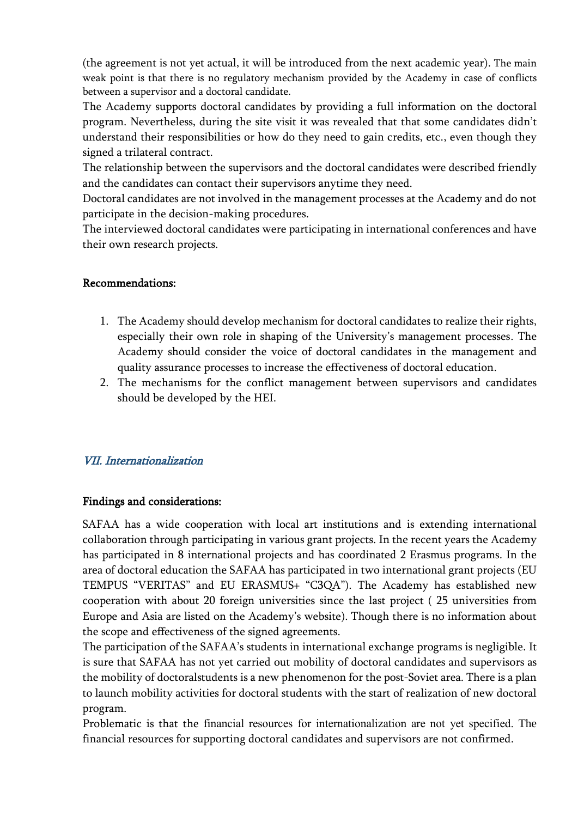(the agreement is not yet actual, it will be introduced from the next academic year). The main weak point is that there is no regulatory mechanism provided by the Academy in case of conflicts between a supervisor and a doctoral candidate.

The Academy supports doctoral candidates by providing a full information on the doctoral program. Nevertheless, during the site visit it was revealed that that some candidates didn't understand their responsibilities or how do they need to gain credits, etc., even though they signed a trilateral contract.

The relationship between the supervisors and the doctoral candidates were described friendly and the candidates can contact their supervisors anytime they need.

Doctoral candidates are not involved in the management processes at the Academy and do not participate in the decision-making procedures.

The interviewed doctoral candidates were participating in international conferences and have their own research projects.

### Recommendations:

- 1. The Academy should develop mechanism for doctoral candidates to realize their rights, especially their own role in shaping of the University's management processes. The Academy should consider the voice of doctoral candidates in the management and quality assurance processes to increase the effectiveness of doctoral education.
- 2. The mechanisms for the conflict management between supervisors and candidates should be developed by the HEI.

### <span id="page-9-0"></span>VII. Internationalization

### Findings and considerations:

SAFAA has a wide cooperation with local art institutions and is extending international collaboration through participating in various grant projects. In the recent years the Academy has participated in 8 international projects and has coordinated 2 Erasmus programs. In the area of doctoral education the SAFAA has participated in two international grant projects (EU TEMPUS "VERITAS" and EU ERASMUS+ "C3QA"). The Academy has established new cooperation with about 20 foreign universities since the last project ( 25 universities from Europe and Asia are listed on the Academy's website). Though there is no information about the scope and effectiveness of the signed agreements.

The participation of the SAFAA's students in international exchange programs is negligible. It is sure that SAFAA has not yet carried out mobility of doctoral candidates and supervisors as the mobility of doctoralstudents is a new phenomenon for the post-Soviet area. There is a plan to launch mobility activities for doctoral students with the start of realization of new doctoral program.

Problematic is that the financial resources for internationalization are not yet specified. The financial resources for supporting doctoral candidates and supervisors are not confirmed.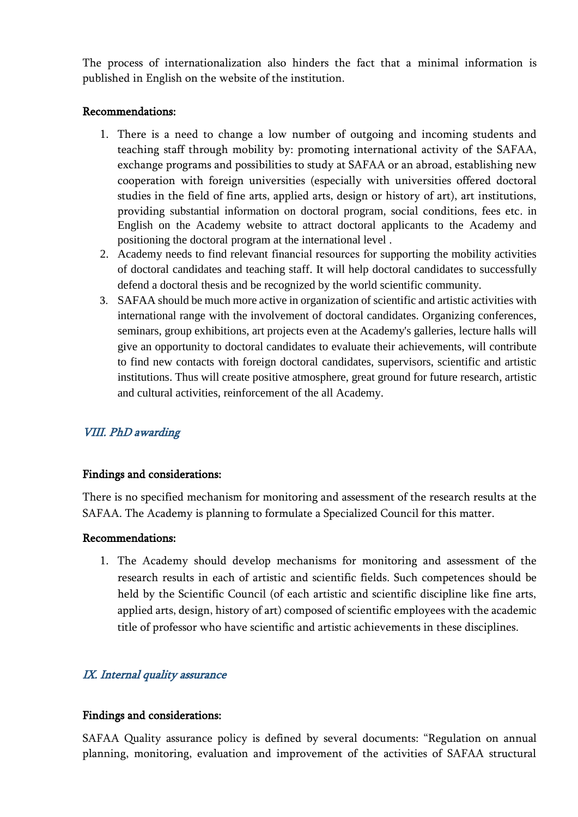The process of internationalization also hinders the fact that a minimal information is published in English on the website of the institution.

### Recommendations:

- 1. There is a need to change a low number of outgoing and incoming students and teaching staff through mobility by: promoting international activity of the SAFAA, exchange programs and possibilities to study at SAFAA or an abroad, establishing new cooperation with foreign universities (especially with universities offered doctoral studies in the field of fine arts, applied arts, design or history of art), art institutions, providing substantial information on doctoral program, social conditions, fees etc. in English on the Academy website to attract doctoral applicants to the Academy and positioning the doctoral program at the international level .
- 2. Academy needs to find relevant financial resources for supporting the mobility activities of doctoral candidates and teaching staff. It will help doctoral candidates to successfully defend a doctoral thesis and be recognized by the world scientific community.
- 3. SAFAA should be much more active in organization of scientific and artistic activities with international range with the involvement of doctoral candidates. Organizing conferences, seminars, group exhibitions, art projects even at the Academy's galleries, lecture halls will give an opportunity to doctoral candidates to evaluate their achievements, will contribute to find new contacts with foreign doctoral candidates, supervisors, scientific and artistic institutions. Thus will create positive atmosphere, great ground for future research, artistic and cultural activities, reinforcement of the all Academy.

### <span id="page-10-0"></span>VIII. PhD awarding

### Findings and considerations:

There is no specified mechanism for monitoring and assessment of the research results at the SAFAA. The Academy is planning to formulate a Specialized Council for this matter.

### Recommendations:

1. The Academy should develop mechanisms for monitoring and assessment of the research results in each of artistic and scientific fields. Such competences should be held by the Scientific Council (of each artistic and scientific discipline like fine arts, applied arts, design, history of art) composed of scientific employees with the academic title of professor who have scientific and artistic achievements in these disciplines.

### <span id="page-10-1"></span>IX. Internal quality assurance

### Findings and considerations:

SAFAA Quality assurance policy is defined by several documents: "Regulation on annual planning, monitoring, evaluation and improvement of the activities of SAFAA structural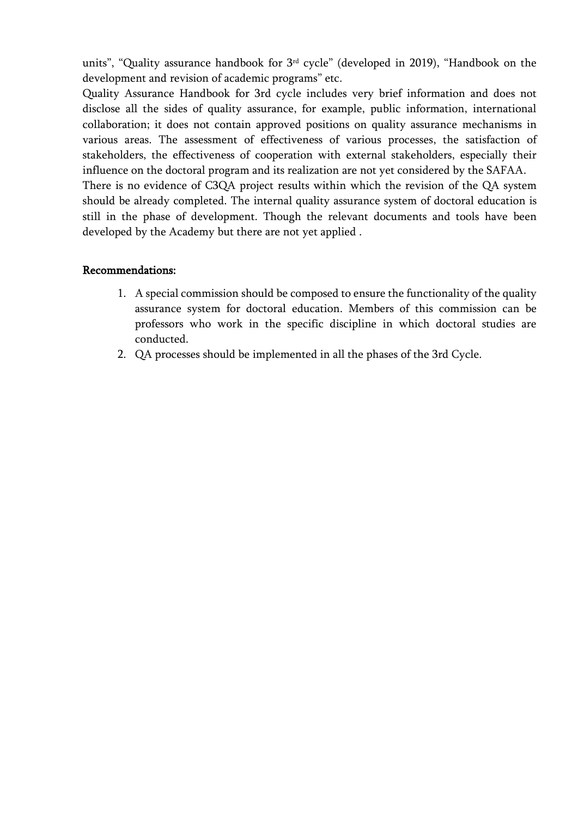units", "Quality assurance handbook for 3rd cycle" (developed in 2019), "Handbook on the development and revision of academic programs" etc.

Quality Assurance Handbook for 3rd cycle includes very brief information and does not disclose all the sides of quality assurance, for example, public information, international collaboration; it does not contain approved positions on quality assurance mechanisms in various areas. The assessment of effectiveness of various processes, the satisfaction of stakeholders, the effectiveness of cooperation with external stakeholders, especially their influence on the doctoral program and its realization are not yet considered by the SAFAA.

There is no evidence of C3QA project results within which the revision of the QA system should be already completed. The internal quality assurance system of doctoral education is still in the phase of development. Though the relevant documents and tools have been developed by the Academy but there are not yet applied .

### Recommendations:

- 1. A special commission should be composed to ensure the functionality of the quality assurance system for doctoral education. Members of this commission can be professors who work in the specific discipline in which doctoral studies are conducted.
- 2. QA processes should be implemented in all the phases of the 3rd Cycle.